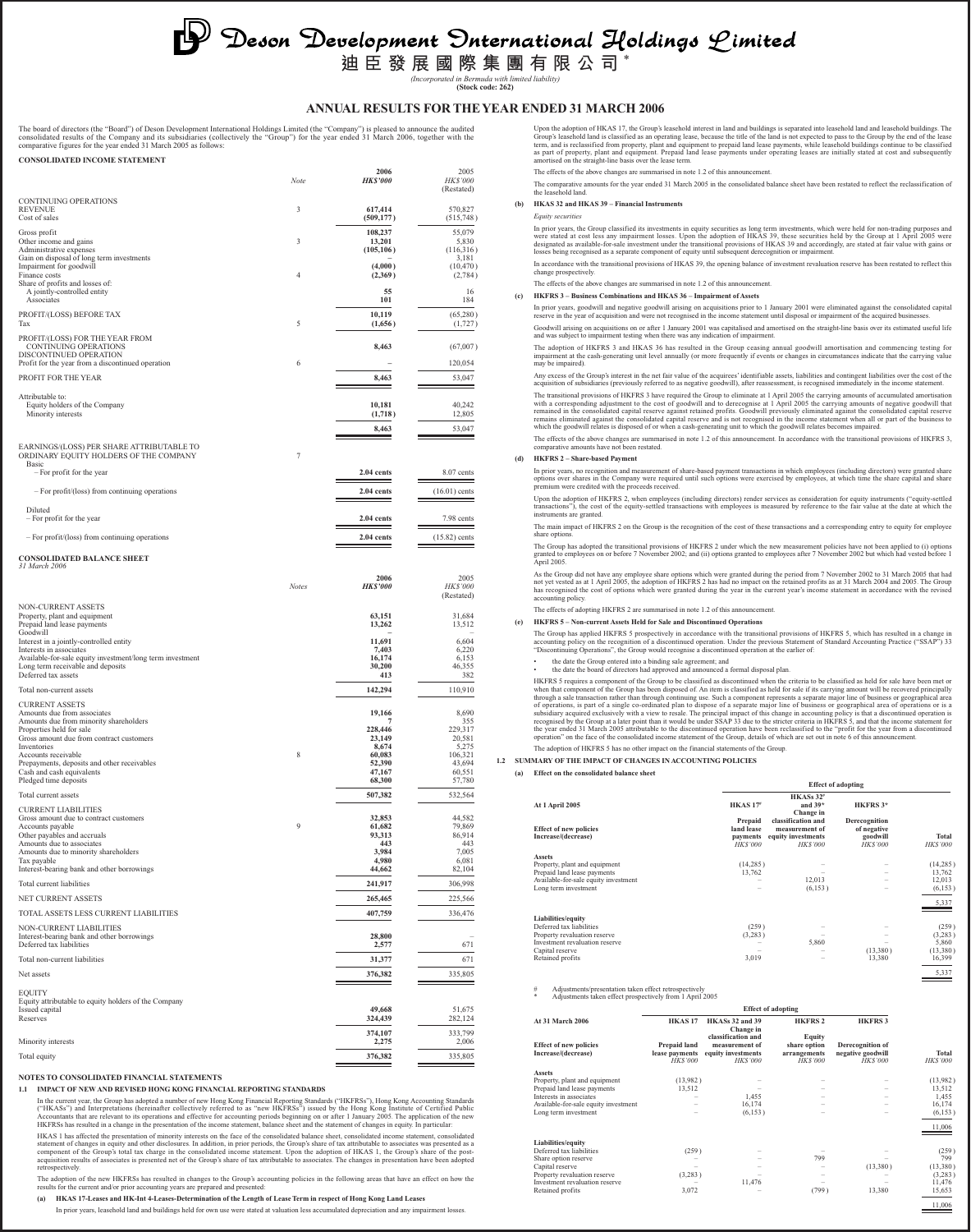# **D** Deson Development Dnternational Holdings Limited<br>道臣發展國際集團有限公司\*

*(Incorporated in Bermuda with limited liability)* **(Stock code: 262)**

# **ANNUAL RESULTS FOR THE YEAR ENDED 31 MARCH 2006**

The board of directors (the "Board") of Deson Development International Holdings Limited (the "Company") is pleased to announce the audited<br>consolidated results of the Company and its subsidiaries (collectively the "Group" **CONSOLIDATED INCOME STATEMENT**

|                                                                                                                       | Note         | 2006<br><b>HK\$'000</b>         | 2005<br><b>HK\$'000</b><br>(Restated) |
|-----------------------------------------------------------------------------------------------------------------------|--------------|---------------------------------|---------------------------------------|
| <b>CONTINUING OPERATIONS</b><br><b>REVENUE</b><br>Cost of sales                                                       | 3            | 617,414<br>(509, 177)           | 570,827<br>(515,748)                  |
| Gross profit<br>Other income and gains<br>Administrative expenses<br>Gain on disposal of long term investments        | 3            | 108,237<br>13,201<br>(105, 106) | 55,079<br>5,830<br>(116,316)<br>3,181 |
| Impairment for goodwill<br>Finance costs<br>Share of profits and losses of:                                           | 4            | (4,000)<br>(2,369)              | (10, 470)<br>(2,784)                  |
| A jointly-controlled entity<br>Associates                                                                             |              | 55<br>101                       | 16<br>184                             |
| PROFIT/(LOSS) BEFORE TAX<br>Tax<br>PROFIT/(LOSS) FOR THE YEAR FROM                                                    | 5            | 10,119<br>(1,656)               | (65,280)<br>(1, 727)                  |
| CONTINUING OPERATIONS<br>DISCONTINUED OPERATION<br>Profit for the year from a discontinued operation                  | 6            | 8,463                           | (67,007)<br>120,054                   |
| PROFIT FOR THE YEAR                                                                                                   |              | 8,463                           | 53,047                                |
| Attributable to:<br>Equity holders of the Company<br>Minority interests                                               |              | 10,181<br>(1,718)<br>8,463      | 40,242<br>12,805<br>53,047            |
| EARNINGS/(LOSS) PER SHARE ATTRIBUTABLE TO<br>ORDINARY EQUITY HOLDERS OF THE COMPANY<br>Basic                          | 7            |                                 |                                       |
| - For profit for the year                                                                                             |              | 2.04 cents                      | 8.07 cents                            |
| - For profit/(loss) from continuing operations<br>Diluted                                                             |              | 2.04 cents                      | $(16.01)$ cents                       |
| - For profit for the year                                                                                             |              | 2.04 cents                      | 7.98 cents                            |
| $-$ For profit/(loss) from continuing operations                                                                      |              | 2.04 cents                      | $(15.82)$ cents                       |
| <b>CONSOLIDATED BALANCE SHEET</b><br>31 March 2006                                                                    |              |                                 |                                       |
|                                                                                                                       | <b>Notes</b> | 2006<br><b>HK\$'000</b>         | 2005<br><b>HK\$'000</b><br>(Restated) |
| NON-CURRENT ASSETS<br>Property, plant and equipment<br>Prepaid land lease payments                                    |              | 63,151<br>13,262                | 31,684<br>13,512                      |
| Goodwill<br>Interest in a jointly-controlled entity<br>Interests in associates                                        |              | 11,691<br>7,403                 | 6,604<br>6,220                        |
| Available-for-sale equity investment/long term investment<br>Long term receivable and deposits<br>Deferred tax assets |              | 16,174<br>30,200<br>413         | 6,153<br>46,355<br>382                |
| Total non-current assets                                                                                              |              | 142,294                         | 110,910                               |
| <b>CURRENT ASSETS</b><br>Amounts due from associates<br>Amounts due from minority shareholders                        |              | 19,166<br>7                     | 8,690<br>355                          |
| Properties held for sale<br>Gross amount due from contract customers                                                  |              | 228,446<br>23,149               | 229,317<br>20,581                     |
| Inventories<br>Accounts receivable                                                                                    | 8            | 8,674<br>60,085                 | 5,275<br>106,321                      |
| Prepayments, deposits and other receivables<br>Cash and cash equivalents                                              |              | 52,390<br>47,167<br>68,300      | 43,694<br>60,551<br>57,780            |
| Pledged time deposits<br>Total current assets                                                                         |              | 507,382                         | 532,564                               |
| <b>CURRENT LIABILITIES</b><br>Gross amount due to contract customers                                                  |              | 32,853                          | 44,582                                |
| Accounts payable<br>Other payables and accruals                                                                       | 9            | 61,682<br>93,313                | 79,869<br>86,914                      |
| Amounts due to associates<br>Amounts due to minority shareholders<br>Tax payable                                      |              | 443<br>3.984<br>4,980           | 443<br>7,005<br>6,081                 |
| Interest-bearing bank and other borrowings                                                                            |              | 44,662                          | 82,104                                |
| Total current liabilities                                                                                             |              | 241,917                         | 306,998                               |
| NET CURRENT ASSETS<br>TOTAL ASSETS LESS CURRENT LIABILITIES                                                           |              | 265,465<br>407,759              | 225,566<br>336,476                    |
| NON-CURRENT LIABILITIES<br>Interest-bearing bank and other borrowings                                                 |              | 28,800                          |                                       |
| Deferred tax liabilities<br>Total non-current liabilities                                                             |              | 2,577<br>31,377                 | 671<br>671                            |
| Net assets                                                                                                            |              | 376,382                         | 335,805                               |
| <b>EQUITY</b><br>Equity attributable to equity holders of the Company                                                 |              |                                 |                                       |
| Issued capital<br>Reserves                                                                                            |              | 49,668<br>324,439               | 51,675<br>282,124                     |
| Minority interests                                                                                                    |              | 374,107<br>2,275                | 333,799<br>2,006                      |
| Total equity                                                                                                          |              | 376,382                         | 335,805                               |
| NOTES TO CONSOLIDATED FINANCIAL STATEMENTS                                                                            |              |                                 |                                       |

**1.1 IMPACT OF NEW AND REVISED HONG KONG FINANCIAL REPORTING STANDARDS**

In the current year, the Group has adopted a number of new Hong Kong Financial Reporting Standards ("HKFRSs"), Hong Kong Accounting Standards<br>("HKASs") and Interpretations (hereinafter collectively referred to as "new HKFR

HKAS 1 has affected the presentation of minority interests on the face of the consolidated balance sheet, consolidated income statement, consolidated at statement of changes in equity and other disclosures. In addition, in retrospectively.

The adoption of the new HKFRSs has resulted in changes to the Group's accounting policies in the following areas that have an effect on how the<br>results for the current and/or prior accounting years are prepared and present

**(a) HKAS 17-Leases and HK-Int 4-Leases-Determination of the Length of Lease Term in respect of Hong Kong Land Leases**

In prior years, leasehold land and buildings held for own use were stated at valuation less accumulated depreciation and any impairment losses.

Upon the adoption of HKAS 17, the Group's leashedd interest in land and buildings is separated into leashed buildings in School and and particular the description of the lease term, and is reclassified into from property,

The effects of the above changes are summarised in note 1.2 of this announcement

The comparative amounts for the year ended 31 March 2005 in the consolidated balance sheet have been restated to reflect the reclassification of the leasehold land.

# **(b) HKAS 32 and HKAS 39 – Financial Instruments**

*Equity securities*

In prior years, the Group classified its investments in equity securities as long term investments, which were held for non-trading purposes and<br>were stated at cost less any impairment losses. Upon the adoption of HKAS 39,

In accordance with the transitional provisions of HKAS 39, the opening balance of investment revaluation reserve has been restated to reflect this change prospectively.

# The effects of the above changes are summarised in note 1.2 of this anno **(c) HKFRS 3 – Business Combinations and HKAS 36 – Impairment of Assets**

In prior years, goodwill and negative goodwill arising on acquisitions prior to 1 January 2001 were eliminated against the consolidated capital<br>reserve in the year of acquisition and were not recognised in the income state Goodwill arising on acquisitions on or after 1 January 2001 was capitalised and amortised on the straight-line basis over its estimated useful life<br>and was subject to impairment testing when there was any indication of imp

The adoption of HKFRS 3 and HKAS 36 has resulted in the Group ceasing annual goodwill amortisation and commencing testing for<br>impairment at the cash-generating unit level annually (or more frequently if events or changes i impairment at ...<br>may be impaired).

Any excess of the Group's interest in the net fair value of the acquirees' identifiable assets, liabilities and contingent liabilities over the cost of the<br>acquisition of subsidiaries (previously referred to as negative go

The transitional provisions of HKFRS 3 have required the Group to eliminate at 1 April 2005 the carrying amounts of accumulated amortisation<br>with a corresponding adjustment to the cost of goodwill and to derecognise at 1 A

The effects of the above changes are summarised in note 1.2 of this announcement. In accordance with the transitional provisions of HKFRS 3, comparative amounts have not been restated.

# **(d) HKFRS 2 – Share-based Payment**

In prior years, no recognition and measurement of share-based payment transactions in which employees (including directors) were granted share<br>options over shares in the Company were required until such options were exerci

Upon the adoption of HKFRS 2, when employees (including directors) render services as consideration for equity instruments ("equity-settled<br>transactions"), the cost of the equity-settled transactions with employees is meas instruments are granted.

The main impact of HKFRS 2 on the Group is the recognition of the cost of these transactions and a corresponding entry to equity for employee share options.

The Group has adopted the transitional provisions of HKFRS 2 under which the new measurement policies have not been applied to (i) options<br>granted to employees on or before 7 November 2002; and (ii) options granted to empl

As the Group did not have any employee share options which were granted during the period from 7 November 2002 to 31 March 2005 that had<br>not yet vested as at 1 April 2005, the adoption of HKFRS 2 has had no impact on the r

# The effects of adopting HKFRS 2 are summarised in note 1.2 of this announcement.

**(e) HKFRS 5 – Non-current Assets Held for Sale and Discontinued Operations**

The Group has applied HKFRS 5 prospectively in accordance with the transitional provisions of HKFRS 5, which has resulted in a change in<br>accounting policy on the recognition of a discontinued operation. Under the previous

# • the date the Group entered into a binding sale agreement; and • the date the board of directors had approved and announced a formal disposal plan.

HKFRS 5 requires a component of the Group to be classified as discontinued when the criteria to be classified as held for sale have been met or<br>when that component of the Group has been disposed of. An item is classified a The adoption of HKFRS 5 has no other impact on the financial statements of the Group.

**Effect of adopt** 

11,006

# **1.2 SUMMARY OF THE IMPACT OF CHANGES IN ACCOUNTING POLICIES**

**(a) Effect on the consolidated balance sheet**

| At 1 April 2005                                      | <b>HKAS17#</b>                                      | HKASs 32 <sup>#</sup><br>and $39*$<br>Change in                              | HKFRS 3*                                                   |                          |
|------------------------------------------------------|-----------------------------------------------------|------------------------------------------------------------------------------|------------------------------------------------------------|--------------------------|
| <b>Effect of new policies</b><br>Increase/(decrease) | Prepaid<br>land lease<br>payments<br><b>HKS'000</b> | classification and<br>measurement of<br>equity investments<br><b>HKS'000</b> | Derecognition<br>of negative<br>goodwill<br><b>HKS'000</b> | Total<br><b>HK\$'000</b> |
| <b>Assets</b>                                        |                                                     |                                                                              |                                                            |                          |
| Property, plant and equipment                        | (14, 285)                                           |                                                                              |                                                            | (14, 285)                |
| Prepaid land lease payments                          | 13,762                                              |                                                                              |                                                            | 13,762                   |
| Available-for-sale equity investment                 |                                                     | 12,013                                                                       |                                                            | 12,013                   |
| Long term investment                                 |                                                     | (6, 153)                                                                     |                                                            | (6,153)                  |
|                                                      |                                                     |                                                                              |                                                            | 5,337                    |
| Liabilities/equity                                   |                                                     |                                                                              |                                                            |                          |
| Deferred tax liabilities                             | (259)                                               |                                                                              |                                                            | (259)                    |
| Property revaluation reserve                         | (3,283)                                             |                                                                              |                                                            | (3,283)                  |
| Investment revaluation reserve                       |                                                     | 5,860                                                                        |                                                            | 5,860                    |
| Capital reserve                                      |                                                     |                                                                              | (13,380)                                                   | (13,380)                 |
| Retained profits                                     | 3,019                                               |                                                                              | 13,380                                                     | 16,399                   |
|                                                      |                                                     |                                                                              |                                                            | 5,337                    |

# Adjustments/presentation taken effect retrospectively \* Adjustments taken effect prospectively from 1 April 2005

| At 31 March 2006                                     | <b>HKAS17</b>                                    | HKASs 32 and 39<br>Change in                                                 | <b>HKFRS 2</b>                                                   | <b>HKFRS3</b>                                           |                         |
|------------------------------------------------------|--------------------------------------------------|------------------------------------------------------------------------------|------------------------------------------------------------------|---------------------------------------------------------|-------------------------|
| <b>Effect of new policies</b><br>Increase/(decrease) | Prepaid land<br>lease payments<br><b>HKS'000</b> | classification and<br>measurement of<br>equity investments<br><b>HKS'000</b> | <b>Equity</b><br>share option<br>arrangements<br><b>HK\$'000</b> | Derecognition of<br>negative goodwill<br><b>HKS'000</b> | Total<br><b>HKS'000</b> |
| <b>Assets</b>                                        |                                                  |                                                                              |                                                                  |                                                         |                         |
| Property, plant and equipment                        | (13.982)                                         |                                                                              |                                                                  |                                                         | (13,982)                |
| Prepaid land lease payments                          | 13,512                                           |                                                                              |                                                                  |                                                         | 13,512                  |
| Interests in associates                              |                                                  | 1,455                                                                        |                                                                  |                                                         | 1,455                   |
| Available-for-sale equity investment                 |                                                  | 16,174                                                                       |                                                                  |                                                         | 16,174                  |
| Long term investment                                 |                                                  | (6,153)                                                                      |                                                                  |                                                         | (6, 153)                |
|                                                      |                                                  |                                                                              |                                                                  |                                                         | 11,006                  |
| Liabilities/equity                                   |                                                  |                                                                              |                                                                  |                                                         |                         |
| Deferred tax liabilities                             | (259)                                            |                                                                              |                                                                  |                                                         | (259)                   |
| Share option reserve                                 |                                                  |                                                                              | 799                                                              |                                                         | 799                     |
| Capital reserve                                      |                                                  |                                                                              |                                                                  | (13,380)                                                | (13,380)                |
| Property revaluation reserve                         | (3,283)                                          |                                                                              |                                                                  |                                                         | (3,283)                 |
| Investment revaluation reserve                       |                                                  | 11,476                                                                       |                                                                  |                                                         | 11,476                  |
| Retained profits                                     | 3,072                                            |                                                                              | (799)                                                            | 13,380                                                  | 15,653                  |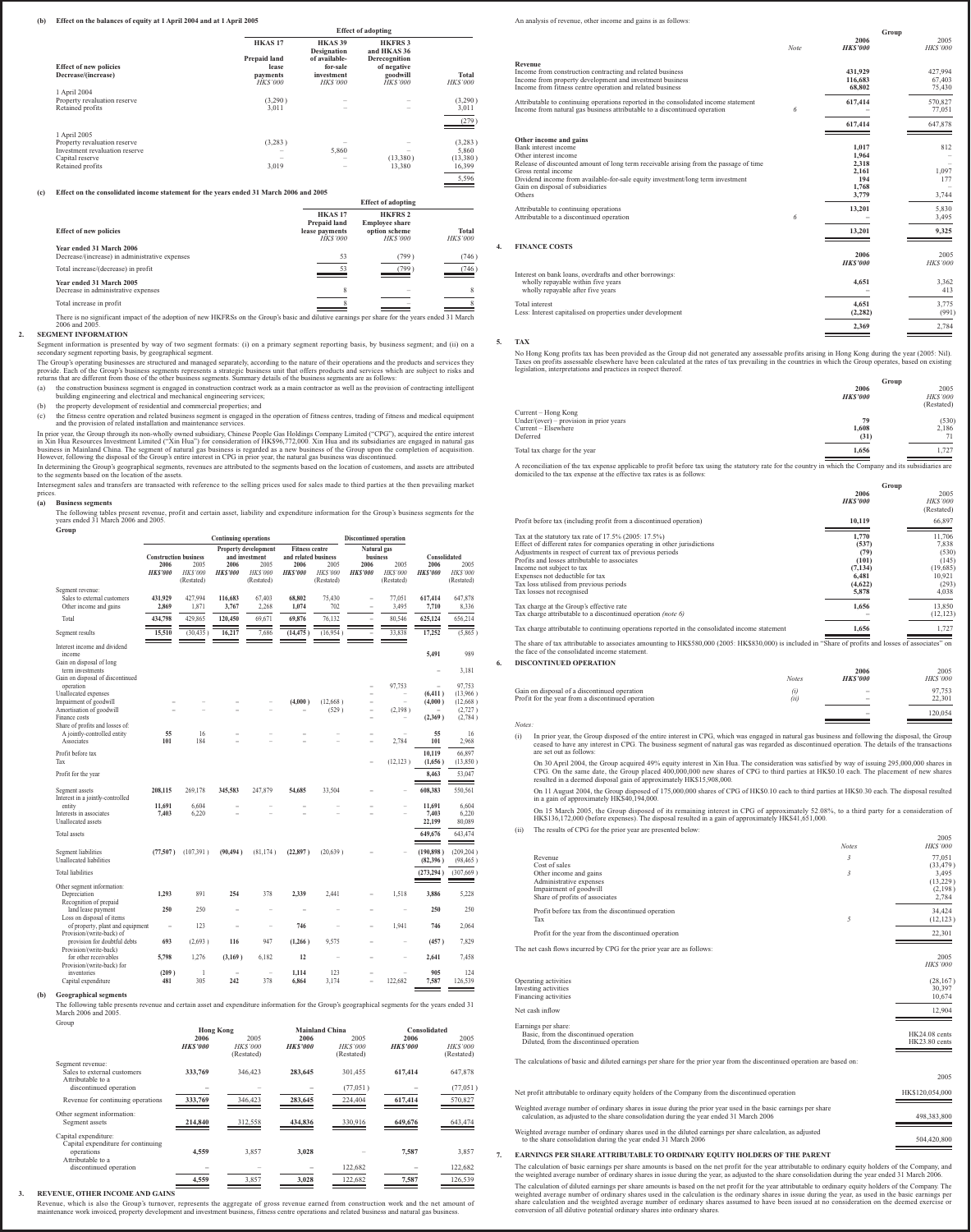**(b) Effect on the balances of equity at 1 April 2004 and at 1 April 2005**

|                                |                                    | <b>Effect of adopting</b>                      |                                               |                         |  |
|--------------------------------|------------------------------------|------------------------------------------------|-----------------------------------------------|-------------------------|--|
|                                | HKAS <sub>17</sub><br>Prepaid land | <b>HKAS 39</b><br>Designation<br>of available- | <b>HKFRS3</b><br>and HKAS 36<br>Derecognition |                         |  |
| <b>Effect of new policies</b>  | lease                              | for-sale                                       | of negative                                   |                         |  |
| Decrease/(increase)            | payments<br><b>HKS'000</b>         | investment<br><b>HKS'000</b>                   | goodwill<br><b>HKS'000</b>                    | Total<br><b>HKS'000</b> |  |
| 1 April 2004                   |                                    |                                                |                                               |                         |  |
| Property revaluation reserve   | (3,290)                            |                                                |                                               | (3,290)                 |  |
| Retained profits               | 3,011                              |                                                |                                               | 3,011                   |  |
|                                |                                    |                                                |                                               | (279)                   |  |
| 1 April 2005                   |                                    |                                                |                                               |                         |  |
| Property revaluation reserve   | (3,283)                            |                                                |                                               | (3,283)                 |  |
| Investment revaluation reserve |                                    | 5,860                                          |                                               | 5,860                   |  |
| Capital reserve                |                                    |                                                | (13,380)                                      | (13,380)                |  |
| Retained profits               | 3,019                              |                                                | 13,380                                        | 16,399                  |  |
|                                |                                    |                                                |                                               | 5,596                   |  |

# **(c) Effect on the consolidated income statement for the years ended 31 March 2006 and 2005**

|                                                                                                                                                                  |                                                                        | <b>Effect of adopting</b>                                                 |                         |  |  |  |
|------------------------------------------------------------------------------------------------------------------------------------------------------------------|------------------------------------------------------------------------|---------------------------------------------------------------------------|-------------------------|--|--|--|
| <b>Effect of new policies</b>                                                                                                                                    | HKAS <sub>17</sub><br>Prepaid land<br>lease payments<br><b>HKS'000</b> | <b>HKFRS2</b><br><b>Employee share</b><br>option scheme<br><b>HKS'000</b> | Total<br><b>HKS'000</b> |  |  |  |
| Year ended 31 March 2006<br>Decrease/(increase) in administrative expenses                                                                                       | 53                                                                     | (799)                                                                     | (746)                   |  |  |  |
| Total increase/(decrease) in profit                                                                                                                              | 53                                                                     | (799)                                                                     | (746)                   |  |  |  |
| Year ended 31 March 2005                                                                                                                                         |                                                                        |                                                                           |                         |  |  |  |
| Decrease in administrative expenses                                                                                                                              |                                                                        |                                                                           |                         |  |  |  |
| Total increase in profit                                                                                                                                         |                                                                        |                                                                           |                         |  |  |  |
| There is no significant impact of the adoption of new HKFRSs on the Group's basic and dilutive earnings per share for the years ended 31 March<br>2006 and 2005. |                                                                        |                                                                           |                         |  |  |  |

**SEGMENT INFORMATION**<br>Segment information is presented by way of two segment formats: (i) on a primary segment reporting basis, by business segment; and (ii) on a<br>secondary segment reporting basis, by geographical segment.

(b) the property development of residential and commercial properties; and

(c) the fitness centre operation and related business segment is engaged in the operation of fitness centres, trading of fitness and medical equipment and the provision of related installation and maintenance services.

In prior year, the Group through its non-wholly owned subsidiary, Chinese People Gas Holdings Company Limited ("CPG"), acquired the entire interest<br>in Xin Hua Resources Investment Limited ("Xin Hua") for consideration of H

In determining the Group's geographical segments, revenues are attributed to the segments based on the location of customers, and assets are attributed to the segments based on the location of the assets. Intersegment sales and transfers are transacted with reference to the selling prices used for sales made to third parties at the then prevailing market

prices. **(a) Business segments**

The following tables present revenue, profit and certain asset, liability and expenditure information for the Group's business segments for the years ended 31 March 2006 and 2005. **Group**

|                                                                                        | <b>Continuing operations</b> |                                      |                        | <b>Discontinued operation</b>          |                        |                                               |                                |                                      |                           |                               |
|----------------------------------------------------------------------------------------|------------------------------|--------------------------------------|------------------------|----------------------------------------|------------------------|-----------------------------------------------|--------------------------------|--------------------------------------|---------------------------|-------------------------------|
|                                                                                        | <b>Construction business</b> |                                      |                        | Property development<br>and investment |                        | <b>Fitness centre</b><br>and related business |                                | Natural gas<br>business              | Consolidated              |                               |
|                                                                                        | 2006<br><b>HKS'000</b>       | 2005<br><b>HKS'000</b><br>(Restated) | 2006<br><b>HKS'000</b> | 2005<br><b>HKS'000</b><br>(Restated)   | 2006<br><b>HKS'000</b> | 2005<br><b>HKS'000</b><br>(Restated)          | 2006<br><b>HKS'000</b>         | 2005<br><b>HKS'000</b><br>(Restated) | 2006<br><b>HKS'000</b>    | 2005<br>HKS'000<br>(Restated) |
| Segment revenue:<br>Sales to external customers<br>Other income and gains              | 431.929<br>2,869             | 427,994<br>1,871                     | 116,683<br>3,767       | 67.403<br>2,268                        | 68,802<br>1.074        | 75,430<br>702                                 | $\overline{\phantom{0}}$<br>L, | 77.051<br>3,495                      | 617.414<br>7,710          | 647.878<br>8,336              |
| Total                                                                                  | 434,798                      | 429,865                              | 120,450                | 69,671                                 | 69,876                 | 76,132                                        | L,                             | 80,546                               | 625,124                   | 656,214                       |
| Segment results                                                                        | 15,510                       | (30, 435)                            | 16,217                 | 7,686                                  | (14, 475)              | (16,954)                                      |                                | 33,838                               | 17,252                    | (5,865)                       |
| Interest income and dividend<br>income<br>Gain on disposal of long<br>term investments |                              |                                      |                        |                                        |                        |                                               |                                |                                      | 5,491                     | 989<br>3,181                  |
| Gain on disposal of discontinued<br>operation<br>Unallocated expenses                  |                              |                                      |                        |                                        |                        |                                               | L.<br>L.                       | 97,753<br>L.                         | (6, 411)                  | 97,753<br>(13,966)            |
| Impairment of goodwill<br>Amortisation of goodwill                                     |                              |                                      |                        | L                                      | (4,000)                | (12.668)<br>(529)                             | L.<br>L.                       | ۳<br>(2,198)                         | (4,000)                   | (12,668)<br>(2, 727)          |
| Finance costs                                                                          |                              |                                      |                        |                                        |                        |                                               | L                              |                                      | (2,369)                   | (2,784)                       |
| Share of profits and losses of:<br>A jointly-controlled entity<br>Associates           | 55<br>101                    | 16<br>184                            |                        |                                        |                        |                                               | L.<br>L.                       | 2,784                                | 55<br>101                 | 16<br>2,968                   |
| Profit before tax<br>Tax                                                               |                              |                                      |                        |                                        |                        |                                               | L.                             | (12, 123)                            | 10.119<br>(1,656)         | 66,897<br>(13,850)            |
| Profit for the year                                                                    |                              |                                      |                        |                                        |                        |                                               |                                |                                      | 8,463                     | 53,047                        |
| Segment assets<br>Interest in a jointly-controlled                                     | 208,115                      | 269,178                              | 345,583                | 247,879                                | 54,685                 | 33,504                                        |                                |                                      | 608,383                   | 550,561                       |
| entity<br>Interests in associates<br>Unallocated assets                                | 11.691<br>7,403              | 6.604<br>6,220                       | L,                     |                                        | ÷                      |                                               |                                | L.                                   | 11.691<br>7.403<br>22,199 | 6.604<br>6.220<br>80,089      |
| Total assets                                                                           |                              |                                      |                        |                                        |                        |                                               |                                |                                      | 649,676                   | 643,474                       |
| Segment liabilities<br>Unallocated liabilities                                         | (77,507)                     | (107, 391)                           | (90, 494)              | (81, 174)                              | (22, 897)              | (20, 639)                                     |                                |                                      | (190, 898)<br>(82, 396)   | (209, 204)<br>(98, 465)       |
| <b>Total liabilities</b>                                                               |                              |                                      |                        |                                        |                        |                                               |                                |                                      | (273, 294)                | (307, 669)                    |
| Other segment information:<br>Depreciation<br>Recognition of prepaid                   | 1,293                        | 891                                  | 254                    | 378                                    | 2,339                  | 2,441                                         |                                | 1,518                                | 3,886                     | 5,228                         |
| land lease payment                                                                     | 250                          | 250                                  |                        | ۰                                      | ۳                      |                                               |                                | ۳                                    | 250                       | 250                           |
| Loss on disposal of items<br>of property, plant and equipment                          |                              | 123                                  |                        |                                        | 746                    |                                               |                                | 1,941                                | 746                       | 2,064                         |
| Provision/(write-back) of<br>provision for doubtful debts                              | 693                          | (2,693)                              | 116                    | 947                                    | (1,266)                | 9.575                                         | L                              |                                      | (457)                     | 7.829                         |
| Provision/(write-back)<br>for other receivables                                        | 5,798                        | 1.276                                | (3,169)                | 6,182                                  | 12                     |                                               |                                |                                      | 2,641                     | 7,458                         |
| Provision/(write-back) for<br>inventories<br>Capital expenditure                       | (209)<br>481                 | 1<br>305                             | 242                    | 378                                    | 1.114<br>6,864         | 123<br>3,174                                  | L                              | 122,682                              | 905<br>7,587              | 124<br>126,539                |

**(b) Geographical segments**

The following table presents revenue and certain asset and expenditure information for the Group's geographical segments for the years ended 31 March 2006 and 2005.

| Group                              |                  |                 |                |                |                |                |
|------------------------------------|------------------|-----------------|----------------|----------------|----------------|----------------|
|                                    | <b>Hong Kong</b> |                 | Mainland China |                | Consolidated   |                |
|                                    | 2006             | 2005            | 2006           | 2005           | 2006           | 2005           |
|                                    | <b>HKS'000</b>   | <b>HK\$'000</b> | <b>HKS'000</b> | <b>HKS'000</b> | <b>HKS'000</b> | <b>HKS'000</b> |
|                                    |                  | (Restated)      |                | (Restated)     |                | (Restated)     |
| Segment revenue:                   |                  |                 |                |                |                |                |
| Sales to external customers        | 333,769          | 346,423         | 283,645        | 301,455        | 617,414        | 647,878        |
| Attributable to a                  |                  |                 |                |                |                |                |
| discontinued operation             |                  |                 |                | (77,051)       |                | (77, 051)      |
|                                    |                  |                 |                |                |                |                |
| Revenue for continuing operations  | 333,769          | 346,423         | 283,645        | 224,404        | 617,414        | 570,827        |
| Other segment information:         |                  |                 |                |                |                |                |
| Segment assets                     | 214,840          | 312,558         | 434,836        | 330,916        | 649,676        | 643,474        |
|                                    |                  |                 |                |                |                |                |
| Capital expenditure:               |                  |                 |                |                |                |                |
| Capital expenditure for continuing |                  |                 |                |                |                |                |
| operations                         | 4.559            | 3,857           | 3.028          |                | 7,587          | 3,857          |
| Attributable to a                  |                  |                 |                |                |                |                |
| discontinued operation             |                  |                 |                | 122,682        |                | 122,682        |
|                                    | 4,559            | 3.857           | 3.028          | 122.682        | 7,587          | 126.539        |
|                                    |                  |                 |                |                |                |                |

# **3. REVENUE, OTHER INCOME AND GAINS**

Revenue, which is also the Group's turnover, represents the aggregate of gross revenue earned from construction work and the net amount of<br>maintenance work invoiced, property development and investment business, fitness ce

An analysis of revenue, other income and gains is as follows:

|    |                                                                                                                                                                                                                                    | <b>Note</b> | <b>HKS'000</b>                 | <b>HKS'000</b>              |
|----|------------------------------------------------------------------------------------------------------------------------------------------------------------------------------------------------------------------------------------|-------------|--------------------------------|-----------------------------|
|    | Revenue<br>Income from construction contracting and related business<br>Income from property development and investment business<br>Income from fitness centre operation and related business                                      |             | 431.929<br>116,683<br>68.802   | 427,994<br>67,403<br>75,430 |
|    | Attributable to continuing operations reported in the consolidated income statement<br>Income from natural gas business attributable to a discontinued operation                                                                   | 6           | 617,414                        | 570,827<br>77,051           |
|    |                                                                                                                                                                                                                                    |             | 617,414                        | 647,878                     |
|    | Other income and gains<br>Bank interest income<br>Other interest income                                                                                                                                                            |             | 1.017<br>1,964                 | 812                         |
|    | Release of discounted amount of long term receivable arising from the passage of time<br>Gross rental income<br>Dividend income from available-for-sale equity investment/long term investment<br>Gain on disposal of subsidiaries |             | 2,318<br>2,161<br>194<br>1,768 | 1,097<br>177                |
|    | Others                                                                                                                                                                                                                             |             | 3,779                          | 3,744                       |
|    | Attributable to continuing operations<br>Attributable to a discontinued operation                                                                                                                                                  | 6           | 13,201                         | 5,830<br>3,495              |
|    |                                                                                                                                                                                                                                    |             | 13,201                         | 9,325                       |
| 4. | <b>FINANCE COSTS</b>                                                                                                                                                                                                               |             | 2006<br><b>HKS'000</b>         | 2005<br><b>HKS'000</b>      |
|    | Interest on bank loans, overdrafts and other borrowings:<br>wholly repayable within five years<br>wholly repayable after five years                                                                                                |             | 4,651                          | 3,362<br>413                |
|    | Total interest<br>Less: Interest capitalised on properties under development                                                                                                                                                       |             | 4.651<br>(2, 282)              | 3,775<br>(991)              |
|    |                                                                                                                                                                                                                                    |             | 2.369                          | 2.784                       |

**Group** 2006 2005

**Group**

**2006** 2005

**5. TAX**

No Hong Kong profits tax has been provided as the Group did not generated any assessable profits arising in Hong Kong during the year (2005: Nil).<br>Taxes on profits assessable elsewhere have been calculated at the rates of

|                                                                                                                                                                                                                                      | 2006           | 2005            |
|--------------------------------------------------------------------------------------------------------------------------------------------------------------------------------------------------------------------------------------|----------------|-----------------|
|                                                                                                                                                                                                                                      | <b>HKS'000</b> | <b>HK\$'000</b> |
|                                                                                                                                                                                                                                      |                | (Restated)      |
| Current – Hong Kong                                                                                                                                                                                                                  |                |                 |
| $Under/(over) - provision in prior years$                                                                                                                                                                                            | 79             | (530)           |
| Current – Elsewhere                                                                                                                                                                                                                  | 1.608          | 2.186           |
| Deferred                                                                                                                                                                                                                             | (31)           |                 |
| Total tax charge for the year                                                                                                                                                                                                        | 1.656          | 1.727           |
| A reconciliation of the tax expense applicable to profit before tax using the statutory rate for the country in which the Company and its subsidiaries are<br>domiciled to the tax expense at the effective tax rates is as follows: |                |                 |
|                                                                                                                                                                                                                                      | Group          |                 |

|                                                                                                | <b>HKS'000</b> | <i>HK\$'000</i><br>(Restated) |
|------------------------------------------------------------------------------------------------|----------------|-------------------------------|
| Profit before tax (including profit from a discontinued operation)                             | 10.119         | 66,897                        |
| Tax at the statutory tax rate of $17.5\%$ (2005: 17.5%)                                        | 1,770          | 11.706                        |
| Effect of different rates for companies operating in other jurisdictions                       | (537)          | 7.838                         |
| Adjustments in respect of current tax of previous periods                                      | (79)           | (530)                         |
| Profits and losses attributable to associates                                                  | (101)          | (145)                         |
| Income not subject to tax                                                                      | (7, 134)       | (19,685)                      |
| Expenses not deductible for tax                                                                | 6.481          | 10.921                        |
| Tax loss utilised from previous periods                                                        | (4,622)        | (293)                         |
| Tax losses not recognised                                                                      | 5,878          | 4.038                         |
| Tax charge at the Group's effective rate                                                       | 1,656          | 13,850                        |
| Tax charge attributable to a discontinued operation (note 6)                                   |                | (12, 123)                     |
| Tax charge attributable to continuing operations reported in the consolidated income statement | 1.656          | 1.727                         |

The share of tax attributable to associates amounting to HK\$580,000 (2005: HK\$830,000) is included in "Share of profits and losses of associates" on the face of the consolidated income statement.

**6. DISCONTINUED OPERATION**

*Notes:*

|                                                   |              | 2006           | 2005           |
|---------------------------------------------------|--------------|----------------|----------------|
|                                                   | <b>Notes</b> | <b>HKS'000</b> | <b>HKS'000</b> |
| Gain on disposal of a discontinued operation      | (i)          | -              | 97.753         |
| Profit for the year from a discontinued operation | (ii)         | -              | 22.301         |
|                                                   |              | -              | 120.054        |

(i) In prior year, the Group disposed of the entire interest in CPG, which was engaged in natural gas business and following the disposal, the Group ceased to have any interest in CPG. The business segment of natural gas w

On 30 April 2004, the Group acquired 49% equity interest in Xin Hua. The consideration was satisfied by way of issuing 295,000,000 shares in<br>CPG. On the same date, the Group placed 400,000,000 new shares of CPG to third pa

On 11 August 2004, the Group disposed of 175,000,000 shares of CPG of HK\$0.10 each to third parties at HK\$0.30 each. The disposal resulted in a gain of approximately HK\$40,194,000.

On 15 March 2005, the Group disposed of its remaining interest in CPG of approximately 52.08%, to a third party for a consideration of<br>HK\$136,172,000 (before expenses). The disposal resulted in a gain of approximately HK\$4  $\mathbf{u}$  The results of  $\mathbf{u}$  for the prior year are presented below:

| 1117 | The results of Cr O for the prior year are presented below.                                                               |              | 2005                   |
|------|---------------------------------------------------------------------------------------------------------------------------|--------------|------------------------|
|      |                                                                                                                           | <b>Notes</b> | <b>HKS'000</b>         |
|      | Revenue<br>Cost of sales                                                                                                  | 3            | 77,051<br>(33, 479)    |
|      | Other income and gains                                                                                                    | 3            | 3,495                  |
|      | Administrative expenses<br>Impairment of goodwill                                                                         |              | (13,229)<br>(2,198)    |
|      | Share of profits of associates                                                                                            |              | 2,784                  |
|      | Profit before tax from the discontinued operation                                                                         |              | 34,424                 |
|      | Tax                                                                                                                       | 5            | (12, 123)              |
|      | Profit for the year from the discontinued operation                                                                       |              | 22,301                 |
|      | The net cash flows incurred by CPG for the prior year are as follows:                                                     |              |                        |
|      |                                                                                                                           |              | 2005<br><b>HKS'000</b> |
|      | Operating activities                                                                                                      |              | (28, 167)              |
|      | Investing activities<br>Financing activities                                                                              |              | 30,397<br>10,674       |
|      |                                                                                                                           |              |                        |
|      | Net cash inflow                                                                                                           |              | 12,904                 |
|      | Earnings per share:<br>Basic, from the discontinued operation                                                             |              | HK24.08 cents          |
|      | Diluted, from the discontinued operation                                                                                  |              | HK23.80 cents          |
|      |                                                                                                                           |              |                        |
|      | The calculations of basic and diluted earnings per share for the prior year from the discontinued operation are based on: |              |                        |
|      |                                                                                                                           |              | 2005                   |
|      | Net profit attributable to ordinary equity holders of the Company from the discontinued operation                         |              | HK\$120,054,000        |
|      |                                                                                                                           |              |                        |

Weighted average number of ordinary shares in issue during the prior year used in the basic earnings per share<br>calculation, as adjusted to the share consolidation during the year ended 31 March 2006 Weighted average number of ordinary shares used in the diluted earnings per share calculation, as adjusted to the share consolidation during the year ended 31 March 2006 504,420,800 504,420,800

**7. EARNINGS PER SHARE ATTRIBUTABLE TO ORDINARY EQUITY HOLDERS OF THE PARENT**

The calculation of basic earnings per share amounts is based on the net profit for the year attributable to ordinary equity holders of the Company, and<br>the weighted average number of ordinary shares in issue during the yea The calculation of diluted earnings per share amounts is based on the net profit for the year attributable to ordinary equity holders of the Company. The weighted average number of ordinary shares used in the calculation i